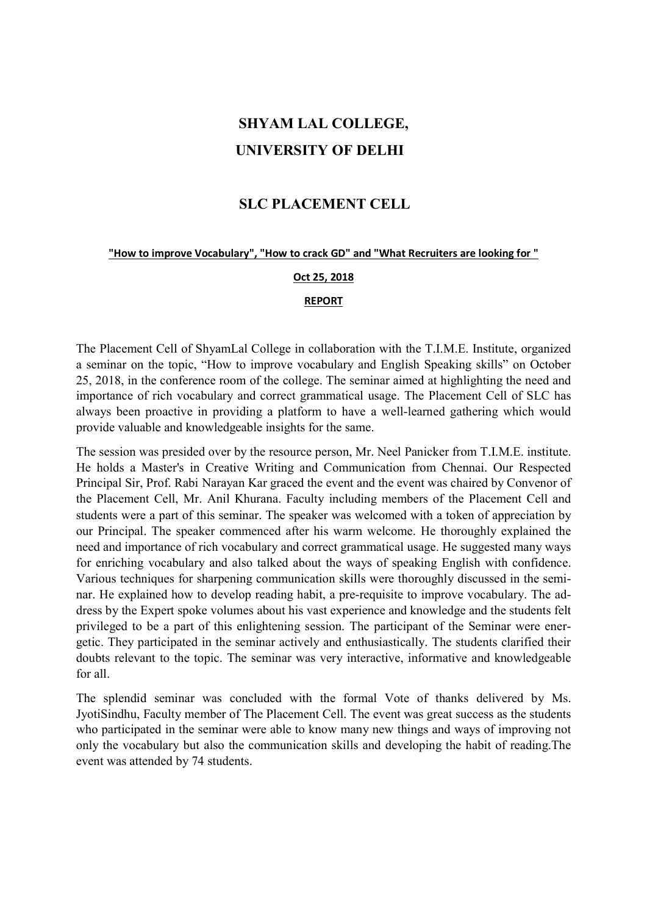## SHYAM LAL COLLEGE, UNIVERSITY OF DELHI

### SLC PLACEMENT CELL

#### "How to improve Vocabulary", "How to crack GD" and "What Recruiters are looking for "

#### Oct 25, 2018

#### REPORT

The Placement Cell of ShyamLal College in collaboration with the T.I.M.E. Institute, organized a seminar on the topic, "How to improve vocabulary and English Speaking skills" on October 25, 2018, in the conference room of the college. The seminar aimed at highlighting the need and importance of rich vocabulary and correct grammatical usage. The Placement Cell of SLC has always been proactive in providing a platform to have a well-learned gathering which would provide valuable and knowledgeable insights for the same.

The session was presided over by the resource person, Mr. Neel Panicker from T.I.M.E. institute. He holds a Master's in Creative Writing and Communication from Chennai. Our Respected Principal Sir, Prof. Rabi Narayan Kar graced the event and the event was chaired by Convenor of the Placement Cell, Mr. Anil Khurana. Faculty including members of the Placement Cell and students were a part of this seminar. The speaker was welcomed with a token of appreciation by our Principal. The speaker commenced after his warm welcome. He thoroughly explained the need and importance of rich vocabulary and correct grammatical usage. He suggested many ways for enriching vocabulary and also talked about the ways of speaking English with confidence. Various techniques for sharpening communication skills were thoroughly discussed in the seminar. He explained how to develop reading habit, a pre-requisite to improve vocabulary. The address by the Expert spoke volumes about his vast experience and knowledge and the students felt privileged to be a part of this enlightening session. The participant of the Seminar were energetic. They participated in the seminar actively and enthusiastically. The students clarified their doubts relevant to the topic. The seminar was very interactive, informative and knowledgeable for all.

The splendid seminar was concluded with the formal Vote of thanks delivered by Ms. JyotiSindhu, Faculty member of The Placement Cell. The event was great success as the students who participated in the seminar were able to know many new things and ways of improving not only the vocabulary but also the communication skills and developing the habit of reading.The event was attended by 74 students.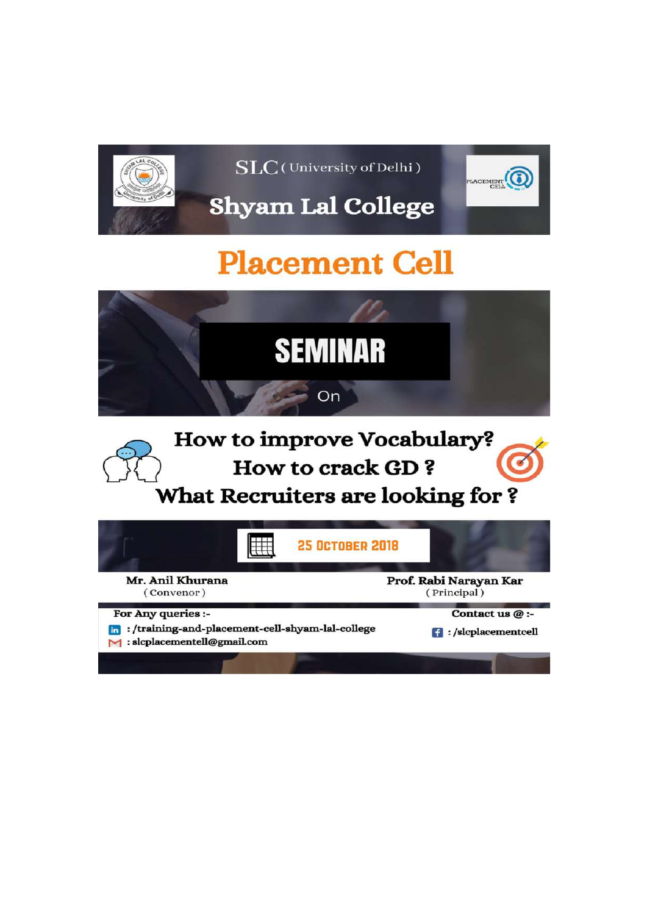

 $\overline{\text{SLC}}$ (University of Delhi)



**Shyam Lal College** 

# **Placement Cell**



How to improve Vocabulary? **How to crack GD?** What Recruiters are looking for?

|                                                   | <b>25 OCTOBER 2018</b>                           |                                                      |
|---------------------------------------------------|--------------------------------------------------|------------------------------------------------------|
| Mr. Anil Khurana<br>(Convenor)                    |                                                  | Prof. Rabi Narayan Kar<br>(Principal)                |
| For Any queries :-<br>: slcplacementell@gmail.com | : /training-and-placement-cell-shyam-lal-college | Contact us $@:$<br>$\blacksquare$ :/slcplacementcell |